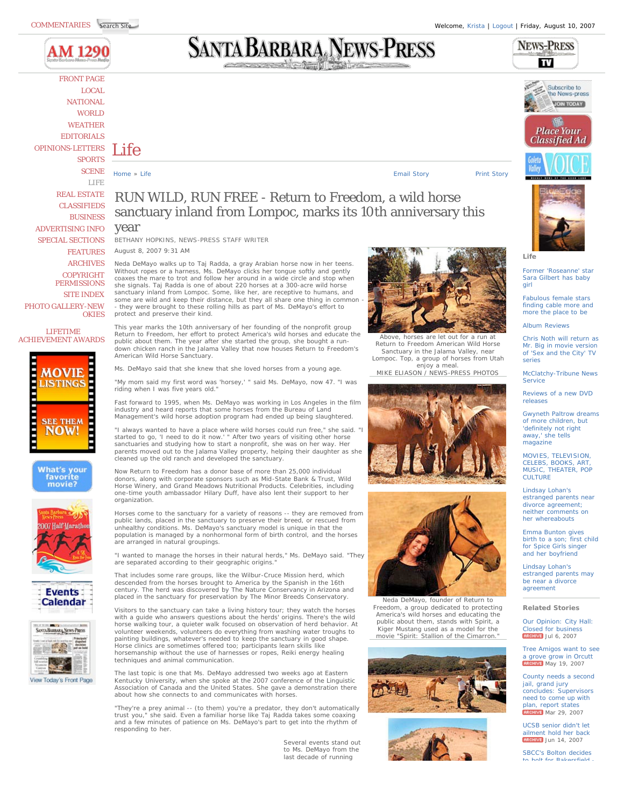

FRONT PAGE LOCAL NATIONAL **WORLD** WEATHER EDITORIALS OPINIONS-LETTERS SPORTS SCENE LIFE REAL ESTATE CLASSIFIEDS BUSINESS ADVERTISING INFO SPECIAL SECTIONS FEATURES ARCHIVES **COPYRIGHT PERMISSIONS** SITE INDEX PHOTO GALLERY-NEW **OKIES** 

Life

LIFETIME ACHIEVEMENT AWARDS



**What's your** favorite<br>movie?















**Life**

Former 'Roseanne' star Sara Gilbert has baby girl

Fabulous female stars finding cable more and more the place to be

Album Reviews

Chris Noth will return as Mr. Big in movie version of 'Sex and the City' TV series

McClatchy-Tribune News Service

Reviews of a new DVD releases

Gwyneth Paltrow dreams of more children, but 'definitely not right away,' she tells magazine

MOVIES, TELEVISION, CELEBS, BOOKS, ART, MUSIC, THEATER, POP CULTURE

Lindsay Lohan's estranged parents near divorce agreement; neither comments on her whereabouts

Emma Bunton gives birth to a son; first child for Spice Girls singer and her boyfriend

Lindsay Lohan's estranged parents may be near a divorce agreement

**Related Stories**

Our Opinion: City Hall: Closed for busine **RRCHIVE** Jul 6, 2007

Tree Amigos want to see grove grow in Orcutt **RRCHIVE** May 19, 2007

County needs a second jail, grand jury concludes: Supervisors need to come up with plan, report states RRCHIVE Mar 29, 2007

UCSB senior didn't let ailment hold her back **ARCHIVE** Jun 14, 2007

SBCC's Bolton decides to bolt for Bakarefia

## RUN WILD, RUN FREE - Return to Freedom, a wild horse sanctuary inland from Lompoc, marks its 10th anniversary this year

Home » Life Print Story Print Story Print Story Print Story Print Story Print Story Print Story Print Story Print Story Print Story Print Story Print Story Print Story Print Story Print Story Print Story Print Story Print

BETHANY HOPKINS, NEWS-PRESS STAFF WRITER August 8, 2007 9:31 AM

Neda DeMayo walks up to Taj Radda, a gray Arabian horse now in her teens. Without ropes or a harness, Ms. DeMayo clicks her tongue softly and gently coaxes the mare to trot and follow her around in a wide circle and stop when seaked the mand to their and renow hor arealism a made and one paid only in she signals. Taj Radda is one of about 220 horses at a 300-acre wild horse sanctuary inland from Lompoc. Some, like her, are receptive to humans, and some are wild and keep their distance, but they all share one thing in common they were brought to these rolling hills as part of Ms. DeMayo's effort to protect and preserve their kind.

This year marks the 10th anniversary of her founding of the nonprofit group Return to Freedom, her effort to protect America's wild horses and educate the public about them. The year after she started the group, she bought a rundown chicken ranch in the Jalama Valley that now houses Return to Freedom's American Wild Horse Sanctuary.

Ms. DeMayo said that she knew that she loved horses from a young age.

"My mom said my first word was 'horsey,' " said Ms. DeMayo, now 47. "I was riding when I was five years old."

Fast forward to 1995, when Ms. DeMayo was working in Los Angeles in the film industry and heard reports that some horses from the Bureau of Land Management's wild horse adoption program had ended up being slaughtered.

"I always wanted to have a place where wild horses could run free," she said. "I started to go, 'I need to do it now.' " After two years of visiting other horse sanctuaries and studying how to start a nonprofit, she was on her way. Her parents moved out to the Jalama Valley property, helping their daughter as she cleaned up the old ranch and developed the sanctuary.

Now Return to Freedom has a donor base of more than 25,000 individual donors, along with corporate sponsors such as Mid-State Bank & Trust, Wild Horse Winery, and Grand Meadows Nutritional Products. Celebrities, including one-time youth ambassador Hilary Duff, have also lent their support to her organization.

Horses come to the sanctuary for a variety of reasons -- they are removed from public lands, placed in the sanctuary to preserve their breed, or rescued from unhealthy conditions. Ms. DeMayo's sanctuary model is unique in that the population is managed by a nonhormonal form of birth control, and the horses are arranged in natural groupings.

"I wanted to manage the horses in their natural herds," Ms. DeMayo said. "They are separated according to their geographic origins.

That includes some rare groups, like the Wilbur-Cruce Mission herd, which descended from the horses brought to America by the Spanish in the 16th century. The herd was discovered by The Nature Conservancy in Arizona and placed in the sanctuary for preservation by The Minor Breeds Conservatory.

Visitors to the sanctuary can take a living history tour; they watch the horses with a guide who answers questions about the herds' origins. There's the wild horse walking tour, a quieter walk focused on observation of herd behavior. At volunteer weekends, volunteers do everything from washing water troughs to painting buildings, whatever's needed to keep the sanctuary in good shape. Horse clinics are sometimes offered too; participants learn skills like horsemanship without the use of harnesses or ropes, Reiki energy healing techniques and animal communication.

The last topic is one that Ms. DeMayo addressed two weeks ago at Eastern Kentucky University, when she spoke at the 2007 conference of the Linguistic Association of Canada and the United States. She gave a demonstration there about how she connects to and communicates with horses.

"They're a prey animal -- (to them) you're a predator, they don't automatically trust you," she said. Even a familiar horse like Taj Radda takes some coaxing and a few minutes of patience on Ms. DeMayo's part to get into the rhythm of responding to her.

> Several events stand out to Ms. DeMayo from the last decade of running







America's wild horses and educating the public about them, stands with Spirit, a Kiger Mustang used as a model for the









Neda DeMayo, founder of Return to Freedom, a group dedicated to protecting movie "Spirit: Stallion of the Cimarron.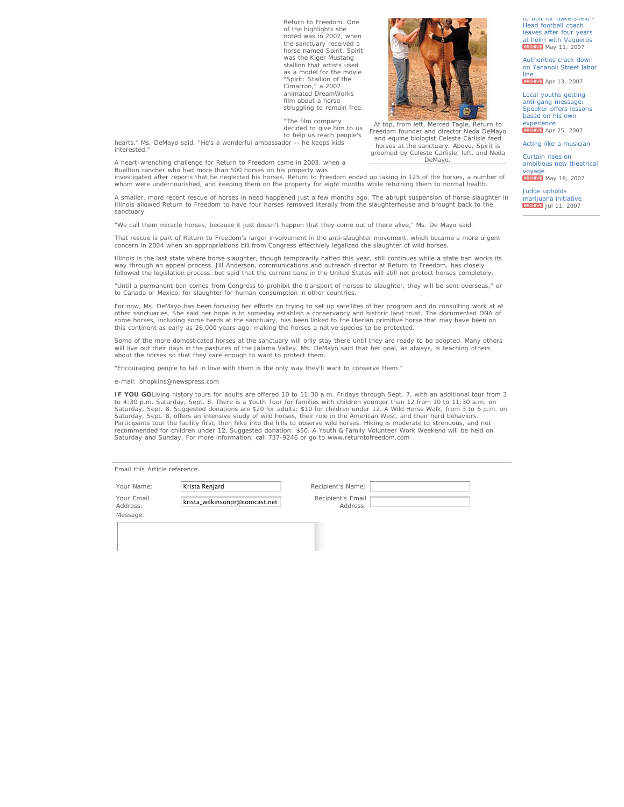Return to Freedom. One of the highlights she noted was in 2002, when the sanctuary received a horse named Spirit. Spirit was the Kiger Mustang stallion that artists used as a model for the movie "Spirit: Stallion of the Cimarron," a 2002 animated DreamWorks film about a horse struggling to remain free.

"The film company decided to give him to us to help us reach people's

hearts," Ms. DeMayo said. "He's a wonderful ambassador -- he keeps kids interested."

A heart-wrenching challenge for Return to Freedom came in 2003, when a Buellton rancher who had more than 500 horses on his property was

investigated after reports that he neglected his horses. Return to Freedom ended up taking in 125 of the horses, a number of whom were undernourished, and keeping them on the property for eight months while returning them to normal health.

A smaller, more recent rescue of horses in need happened just a few months ago. The abrupt suspension of horse slaughter in Illinois allowed Return to Freedom to have four horses removed literally from the slaughterhouse and brought back to the sanctuary.

"We call them miracle horses, because it just doesn't happen that they come out of there alive," Ms. De Mayo said.

That rescue is part of Return to Freedom's larger involvement in the anti-slaughter movement, which became a more urgent<br>concern in 2004 when an appropriations bill from Congress effectively legalized the slaughter of wild

Illinois is the last state where horse slaughter, though temporarily halted this year, still continues while a state ban works its way through an appeal process. Jill Anderson, communications and outreach director at Return to Freedom, has closely followed the legislation process, but said that the current bans in the United States will still not protect horses completely

"Until a permanent ban comes from Congress to prohibit the transport of horses to slaughter, they will be sent overseas," or to Canada or Mexico, for slaughter for human consumption in other countries.

For now, Ms. DeMayo has been focusing her efforts on trying to set up satellites of her program and do consulting work at at other sanctuaries. She said her hope is to someday establish a conservancy and historic land trust. The documented DNA of<br>some horses, including some herds at the sanctuary, has been linked to the Iberian primitive horse t this continent as early as 26,000 years ago, making the horses a native species to be protected.

Some of the more domesticated horses at the sanctuary will only stay there until they are ready to be adopted. Many others<br>will live out their days in the pastures of the Jalama Valley. Ms. DeMayo said that her goal, as al about the horses so that they care enough to want to protect them.

"Encouraging people to fall in love with them is the only way they'll want to conserve them."

e-mail: bhopkins@newspress.com

**IF YOU GO**Living history tours for adults are offered 10 to 11:30 a.m. Fridays through Sept. 7, with an additional tour from 3 to 4:30 p.m. Saturday, Sept. 8. There is a Youth Tour for families with children younger than 12 from 10 to 11:30 a.m. on<br>Saturday, Sept. 8. Suggested donations are \$20 for adults; \$10 for children under 12. A Wild Horse W Saturday, Sept. 8, offers an intensive study of wild horses, their role in the American West, and their herd behaviors. Participants tour the facility first, then hike into the hills to observe wild horses. Hiking is moderate to strenuous, and not<br>recommended for children under 12. Suggested donation: \$50. A Youth & Family Volunteer Work We Saturday and Sunday. For more information, call 737-9246 or go to www.returntofreedom.com

|  | Email this Article reference. |
|--|-------------------------------|

Your Email Message:

Your Email **krista\_wilkinsonpr@comcast.net** Recipient's Email Recipient's Email<br>Address: Address:





At top, from left, Merced Tagle, Return to Freedom founder and director Neda DeMayo and equine biologist Celeste Carlisle feed horses at the sanctuary. Above, Spirit is groomed by Celeste Carlisle, left, and Neda DeMayo.

Curtain rises on ambitious new theatrical

to bolt for Bakersfield Head football coach leaves after four years at helm with Vaqueros **ARCHIVE** May 11, 2007

Authorities crack down on Yananoli Street labor line

**ARCHIVE** Apr 13, 2007

Local youths getting anti-gang message: Speaker offers lessons based on his own

experience<br><mark>|archive</mark> Apr 25, 2007

Acting like a musician

voyage<br><mark>Акснім:</mark> Мау 18, 2007

Judge upholds marijuana initiative<br>Regelive Jul 11, 2007